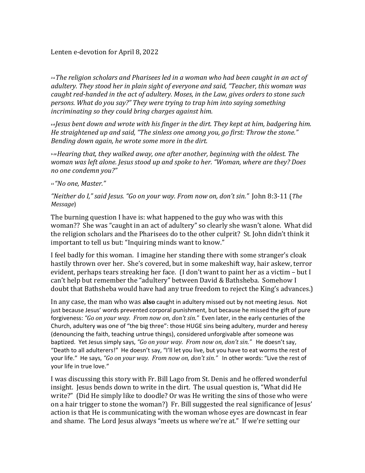*3-6The religion scholars and Pharisees led in a woman who had been caught in an act of adultery. They stood her in plain sight of everyone and said, "Teacher, this woman was caught red-handed in the act of adultery. Moses, in the Law, gives orders to stone such persons. What do you say?" They were trying to trap him into saying something incriminating so they could bring charges against him.*

*6-8 Jesus bent down and wrote with his finger in the dirt. They kept at him, badgering him. He straightened up and said, "The sinless one among you, go first: Throw the stone." Bending down again, he wrote some more in the dirt.*

*9-10Hearing that, they walked away, one after another, beginning with the oldest. The woman was left alone. Jesus stood up and spoke to her. "Woman, where are they? Does no one condemn you?"*

## *<sup>11</sup> "No one, Master."*

*"Neither do I," said Jesus. "Go on your way. From now on, don't sin."* John 8:3-11 (*The Message*)

The burning question I have is: what happened to the guy who was with this woman?? She was "caught in an act of adultery" so clearly she wasn't alone. What did the religion scholars and the Pharisees do to the other culprit? St. John didn't think it important to tell us but: "Inquiring minds want to know."

I feel badly for this woman. I imagine her standing there with some stranger's cloak hastily thrown over her. She's covered, but in some makeshift way, hair askew, terror evident, perhaps tears streaking her face. (I don't want to paint her as a victim – but I can't help but remember the "adultery" between David & Bathsheba. Somehow I doubt that Bathsheba would have had any true freedom to reject the King's advances.)

In any case, the man who was **also** caught in adultery missed out by not meeting Jesus. Not just because Jesus' words prevented corporal punishment, but because he missed the gift of pure forgiveness: *"Go on your way. From now on, don't sin."* Even later, in the early centuries of the Church, adultery was one of "the big three": those HUGE sins being adultery, murder and heresy (denouncing the faith, teaching untrue things), considered unforgivable after someone was baptized. Yet Jesus simply says, *"Go on your way. From now on, don't sin."* He doesn't say, "Death to all adulterers!" He doesn't say, "I'll let you live, but you have to eat worms the rest of your life." He says, *"Go on your way. From now on, don't sin."* In other words: "Live the rest of your life in true love."

I was discussing this story with Fr. Bill Lago from St. Denis and he offered wonderful insight. Jesus bends down to write in the dirt. The usual question is, "What did He write?" (Did He simply like to doodle? Or was He writing the sins of those who were on a hair trigger to stone the woman?) Fr. Bill suggested the real significance of Jesus' action is that He is communicating with the woman whose eyes are downcast in fear and shame. The Lord Jesus always "meets us where we're at." If we're setting our